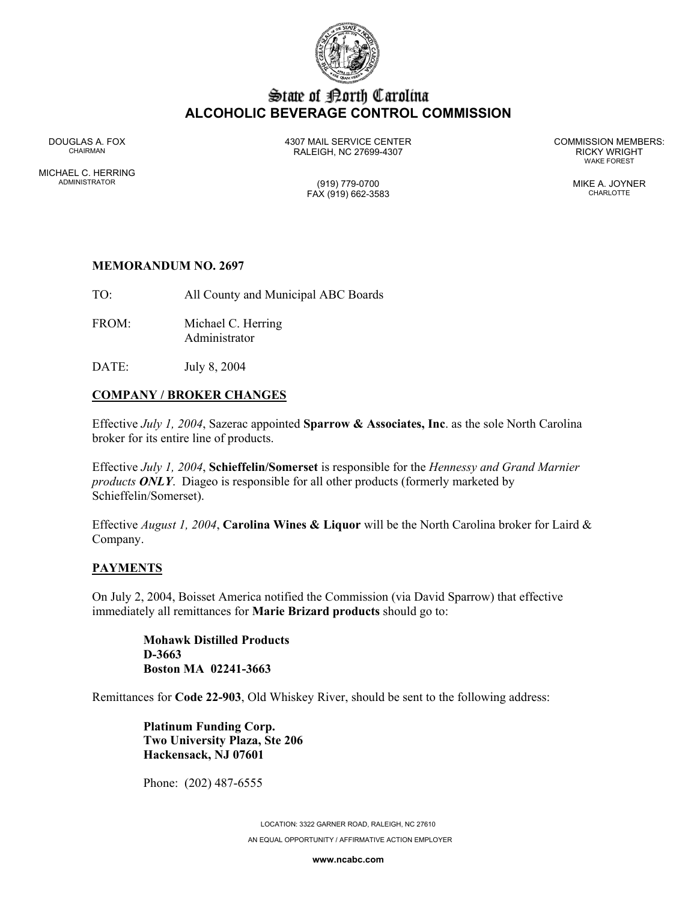

# State of Borth Carolina **ALCOHOLIC BEVERAGE CONTROL COMMISSION**

MICHAEL C. HERRING ADMINISTRATOR (919) 779-0700 MIKE A. JOYNER

DOUGLAS A. FOX 4307 MAIL SERVICE CENTER COMMISSION MEMBERS: CHAIRMAN RALEIGH, NC 27699-4307 RICKY WRIGHT

WAKE FOREST

FAX (919) 662-3583 CHARLOTTE

# **MEMORANDUM NO. 2697**

TO: All County and Municipal ABC Boards

- FROM: Michael C. Herring Administrator
- DATE: July 8, 2004

# **COMPANY / BROKER CHANGES**

Effective *July 1, 2004*, Sazerac appointed **Sparrow & Associates, Inc**. as the sole North Carolina broker for its entire line of products.

Effective *July 1, 2004*, **Schieffelin/Somerset** is responsible for the *Hennessy and Grand Marnier products ONLY*. Diageo is responsible for all other products (formerly marketed by Schieffelin/Somerset).

Effective *August 1, 2004*, **Carolina Wines & Liquor** will be the North Carolina broker for Laird & Company.

## **PAYMENTS**

On July 2, 2004, Boisset America notified the Commission (via David Sparrow) that effective immediately all remittances for **Marie Brizard products** should go to:

> **Mohawk Distilled Products D-3663 Boston MA 02241-3663**

Remittances for **Code 22-903**, Old Whiskey River, should be sent to the following address:

**Platinum Funding Corp. Two University Plaza, Ste 206 Hackensack, NJ 07601** 

Phone: (202) 487-6555

LOCATION: 3322 GARNER ROAD, RALEIGH, NC 27610 AN EQUAL OPPORTUNITY / AFFIRMATIVE ACTION EMPLOYER

**www.ncabc.com**